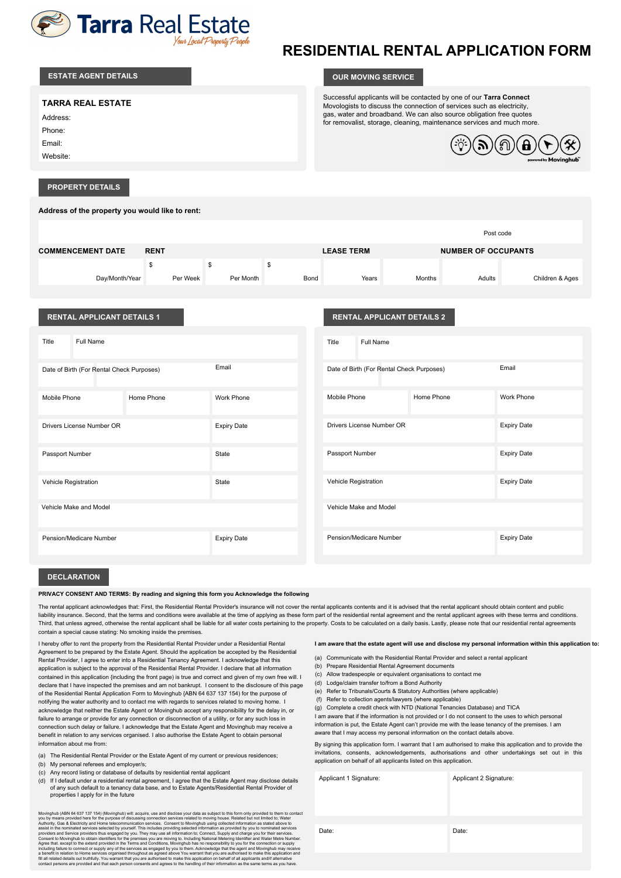

# **RESIDENTIAL RENTAL APPLICATION FORM**

| <b>ESTATE AGENT DETAILS</b>                                                | <b>OUR MOVING SERVICE</b>                                                                                                                                                                                                                                                                                                         |
|----------------------------------------------------------------------------|-----------------------------------------------------------------------------------------------------------------------------------------------------------------------------------------------------------------------------------------------------------------------------------------------------------------------------------|
| <b>TARRA REAL ESTATE</b><br>Address:<br>Phone:<br>Email:<br>Website:       | Successful applicants will be contacted by one of our Tarra Connect<br>Movologists to discuss the connection of services such as electricity,<br>gas, water and broadband. We can also source obligation free quotes<br>for removalist, storage, cleaning, maintenance services and much more.<br>ி<br>B<br>powered by Movinghub" |
| <b>PROPERTY DETAILS</b><br>Address of the property you would like to rent: |                                                                                                                                                                                                                                                                                                                                   |

|                          |             |           |      |                   |               | Post code                  |                 |
|--------------------------|-------------|-----------|------|-------------------|---------------|----------------------------|-----------------|
| <b>COMMENCEMENT DATE</b> | <b>RENT</b> |           |      | <b>LEASE TERM</b> |               | <b>NUMBER OF OCCUPANTS</b> |                 |
|                          |             |           | S    |                   |               |                            |                 |
| Day/Month/Year           | Per Week    | Per Month | Bond | Years             | <b>Months</b> | Adults                     | Children & Ages |

| <b>RENTAL APPLICANT DETAILS 1</b>         |            |                    |                      | <b>RENTAL APPLICANT DETAILS 2</b>         |            |                    |
|-------------------------------------------|------------|--------------------|----------------------|-------------------------------------------|------------|--------------------|
| Full Name<br>Title                        |            |                    | Title                | Full Name                                 |            |                    |
| Date of Birth (For Rental Check Purposes) |            | Email              |                      | Date of Birth (For Rental Check Purposes) |            | Email              |
| Mobile Phone                              | Home Phone | Work Phone         | Mobile Phone         |                                           | Home Phone | Work Phone         |
| Drivers License Number OR                 |            | <b>Expiry Date</b> |                      | Drivers License Number OR                 |            | <b>Expiry Date</b> |
| Passport Number                           |            | State              | Passport Number      |                                           |            | <b>Expiry Date</b> |
| Vehicle Registration                      |            | State              | Vehicle Registration |                                           |            | <b>Expiry Date</b> |
| Vehicle Make and Model                    |            |                    |                      | Vehicle Make and Model                    |            |                    |
| Pension/Medicare Number                   |            | <b>Expiry Date</b> |                      | Pension/Medicare Number                   |            | <b>Expiry Date</b> |

#### **DECLARATION**

#### **PRIVACY CONSENT AND TERMS: By reading and signing this form you Acknowledge the following**

The rental applicant acknowledges that: First, the Residential Rental Provider's insurance will not cover the rental applicants contents and it is advised that the rental applicant should obtain content and public liability insurance. Second, that the terms and conditions were available at the time of applying as these form part of the residential rental agreement and the rental applicant agrees with these terms and conditions. Third, that unless agreed, otherwise the rental applicant shall be liable for all water costs pertaining to the property. Costs to be calculated on a daily basis. Lastly, please note that our residential rental agreements contain a special cause stating: No smoking inside the premises.

I hereby offer to rent the property from the Residential Rental Provider under a Residential Rental Agreement to be prepared by the Estate Agent. Should the application be accepted by the Residential Rental Provider, I agree to enter into a Residential Tenancy Agreement. I acknowledge that this application is subject to the approval of the Residential Rental Provider. I declare that all information contained in this application {including the front page) is true and correct and given of my own free will. I declare that I have inspected the premises and am not bankrupt. I consent to the disclosure of this page of the Residential Rental Application Form to Movinghub {ABN 64 637 137 154) for the purpose of notifying the water authority and to contact me with regards to services related to moving home. I acknowledge that neither the Estate Agent or Movinghub accept any responsibility for the delay in, or failure to arrange or provide for any connection or disconnection of a utility, or for any such loss in connection such delay or failure. I acknowledge that the Estate Agent and Movinghub may receive a benefit in relation to any services organised. I also authorise the Estate Agent to obtain personal information about me from:

- (a) The Residential Rental Provider or the Estate Agent of my current or previous residences;
- (b) My personal referees and employer/s;
- (c) Any record listing or database of defaults by residential rental applicant
- (d) If I default under a residential rental agreement, I agree that the Estate Agent may disclose details of any such default to a tenancy data base, and to Estate Agents/Residential Rental Provider of properties I apply for in the future

Movinghub (ABN 64 637 137 154) (Movinghub) will acquire, use and disclose your data as subject to this form only provided to hem to contact<br>you by means provided here for the purpose of discussing connection services relat

#### **I am aware that the estate agent will use and disclose my personal information within this application to:**

- (a) Communicate with the Residential Rental Provider and select a rental applicant
- (b) Prepare Residential Rental Agreement documents
- (c) Allow tradespeople or equivalent organisations to contact me
- (d) Lodge/claim transfer to/from a Bond Authority
- 
- (e) Refer to Tribunals/Courts & Statutory Authorities (where applicable)
- (f) Refer to collection agents/lawyers {where applicable)
- (g) Complete a credit check with NTD (National Tenancies Database) and TICA

I am aware that if the information is not provided or I do not consent to the uses to which personal information is put, the Estate Agent can't provide me with the lease tenancy of the premises. I am aware that I may access my personal information on the contact details above.

By signing this application form. I warrant that I am authorised to make this application and to provide the invitations, consents, acknowledgements, authorisations and other undertakings set out in this application on behalf of all applicants listed on this application.

Applicant 1 Signature: Applicant 2 Signature: Date: Date: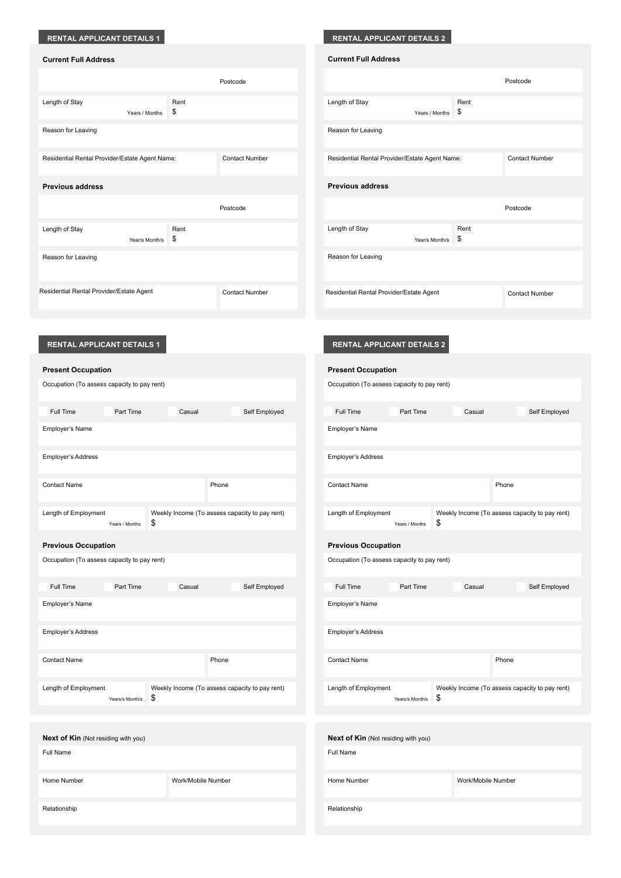## **RENTAL APPLICANT DETAILS 1**

| <b>Current Full Address</b> |  |
|-----------------------------|--|
|-----------------------------|--|

|                                                |                |            | Postcode              |
|------------------------------------------------|----------------|------------|-----------------------|
| Length of Stay                                 | Years / Months | Rent<br>\$ |                       |
| Reason for Leaving                             |                |            |                       |
| Residential Rental Provider/Estate Agent Name: |                |            | <b>Contact Number</b> |
| <b>Previous address</b>                        |                |            |                       |
|                                                |                |            | Postcode              |
| Length of Stay                                 | Year/s Month/s | Rent<br>\$ |                       |
| Reason for Leaving                             |                |            |                       |
| Residential Rental Provider/Estate Agent       |                |            | <b>Contact Number</b> |

|  | <b>RENTAL APPLICANT DETAILS 2</b> |  |
|--|-----------------------------------|--|
|  |                                   |  |

| <b>Current Full Address</b>                    |                |            |                       |
|------------------------------------------------|----------------|------------|-----------------------|
|                                                |                |            | Postcode              |
| Length of Stay                                 | Years / Months | Rent<br>\$ |                       |
| Reason for Leaving                             |                |            |                       |
| Residential Rental Provider/Estate Agent Name: |                |            | <b>Contact Number</b> |
| <b>Previous address</b>                        |                |            |                       |
|                                                |                |            | Postcode              |
| Length of Stay                                 | Year/s Month/s | Rent<br>\$ |                       |
| Reason for Leaving                             |                |            |                       |

Residential Rental Provider/Estate Agent Contact Number

### **RENTAL APPLICANT DETAILS 1 RENTAL APPLICANT DETAILS 2**

| <b>Present Occupation</b>                   |                    |                                                | <b>Present Occupation</b>                   |                 |                    |                                                |
|---------------------------------------------|--------------------|------------------------------------------------|---------------------------------------------|-----------------|--------------------|------------------------------------------------|
| Occupation (To assess capacity to pay rent) |                    |                                                | Occupation (To assess capacity to pay rent) |                 |                    |                                                |
| Full Time<br>Part Time                      | Casual             | Self Employed                                  | Full Time                                   | Part Time       | Casual             | Self Employed                                  |
| Employer's Name                             |                    |                                                | Employer's Name                             |                 |                    |                                                |
| Employer's Address                          |                    |                                                | Employer's Address                          |                 |                    |                                                |
| <b>Contact Name</b>                         |                    | Phone                                          | <b>Contact Name</b>                         |                 | Phone              |                                                |
| Length of Employment<br>Years / Months      | \$                 | Weekly Income (To assess capacity to pay rent) | Length of Employment                        | Years / Months  | \$                 | Weekly Income (To assess capacity to pay rent) |
| <b>Previous Occupation</b>                  |                    |                                                | <b>Previous Occupation</b>                  |                 |                    |                                                |
| Occupation (To assess capacity to pay rent) |                    |                                                | Occupation (To assess capacity to pay rent) |                 |                    |                                                |
| Full Time<br>Part Time                      | Casual             | Self Employed                                  | Full Time                                   | Part Time       | Casual             | Self Employed                                  |
| Employer's Name                             |                    |                                                | Employer's Name                             |                 |                    |                                                |
| Employer's Address                          |                    |                                                | Employer's Address                          |                 |                    |                                                |
| <b>Contact Name</b>                         |                    | Phone                                          | <b>Contact Name</b>                         |                 | Phone              |                                                |
| Length of Employment<br>Years/s Month/s     | \$                 | Weekly Income (To assess capacity to pay rent) | Length of Employment                        | Years/s Month/s | \$                 | Weekly Income (To assess capacity to pay rent) |
| <b>Next of Kin (Not residing with you)</b>  |                    |                                                | <b>Next of Kin (Not residing with you)</b>  |                 |                    |                                                |
| Full Name                                   |                    |                                                | Full Name                                   |                 |                    |                                                |
| Home Number                                 | Work/Mobile Number |                                                | Home Number                                 |                 | Work/Mobile Number |                                                |
| Relationship                                |                    |                                                | Relationship                                |                 |                    |                                                |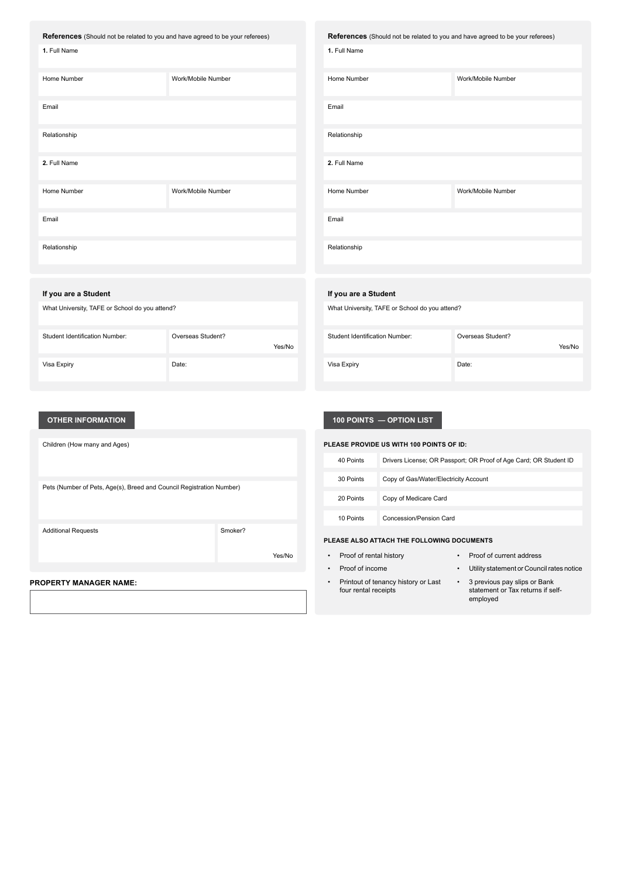|  | References (Should not be related to you and have agreed to be your referees) |
|--|-------------------------------------------------------------------------------|
|--|-------------------------------------------------------------------------------|

| 1. Full Name |                    |
|--------------|--------------------|
| Home Number  | Work/Mobile Number |
| Email        |                    |
| Relationship |                    |
| 2. Full Name |                    |
| Home Number  | Work/Mobile Number |
| Email        |                    |
| Relationship |                    |

| References (Should not be related to you and have agreed to be your referees) |                    |  |  |  |
|-------------------------------------------------------------------------------|--------------------|--|--|--|
| 1. Full Name                                                                  |                    |  |  |  |
| Home Number                                                                   | Work/Mobile Number |  |  |  |
| Email                                                                         |                    |  |  |  |
| Relationship                                                                  |                    |  |  |  |
| 2. Full Name                                                                  |                    |  |  |  |
| Home Number                                                                   | Work/Mobile Number |  |  |  |
| Email                                                                         |                    |  |  |  |
| Relationship                                                                  |                    |  |  |  |

#### **If you are a Student**

Student Identification Number:

| What University, TAFE or School do you attend? |
|------------------------------------------------|
|                                                |

Visa Expiry

| Overseas Student? |        |
|-------------------|--------|
|                   | Yes/No |
|                   |        |
| Date:             |        |
|                   |        |

Yes/No

#### **OTHER INFORMATION**

Children (How many and Ages)

Pets (Number of Pets, Age(s), Breed and Council Registration Number)

Additional Requests **Smoker?** 

**PROPERTY MANAGER NAME:**

### **100 POINTS — OPTION LIST**

What University, TAFE or School do you attend?

Visa Expiry **Date:** 

Student Identification Number: Overseas Student?

**If you are a Student**

| PLEASE PROVIDE US WITH 100 POINTS OF ID:   |                                                                    |  |  |
|--------------------------------------------|--------------------------------------------------------------------|--|--|
| 40 Points                                  | Drivers License; OR Passport; OR Proof of Age Card; OR Student ID  |  |  |
| 30 Points                                  | Copy of Gas/Water/Electricity Account                              |  |  |
| 20 Points                                  | Copy of Medicare Card                                              |  |  |
| 10 Points                                  | Concession/Pension Card                                            |  |  |
| PLEASE ALSO ATTACH THE FOLLOWING DOCUMENTS |                                                                    |  |  |
| $\bullet$ .                                | <b>Droof of rental history</b><br>$\cdot$ Draaf of current address |  |  |

Yes/No

Proof of rental history **•** Proof of current address • Proof of income • Utility statement or Council rates notice • Printout of tenancy history or Last four rental receipts • 3 previous pay slips or Bank statement or Tax returns if selfemployed